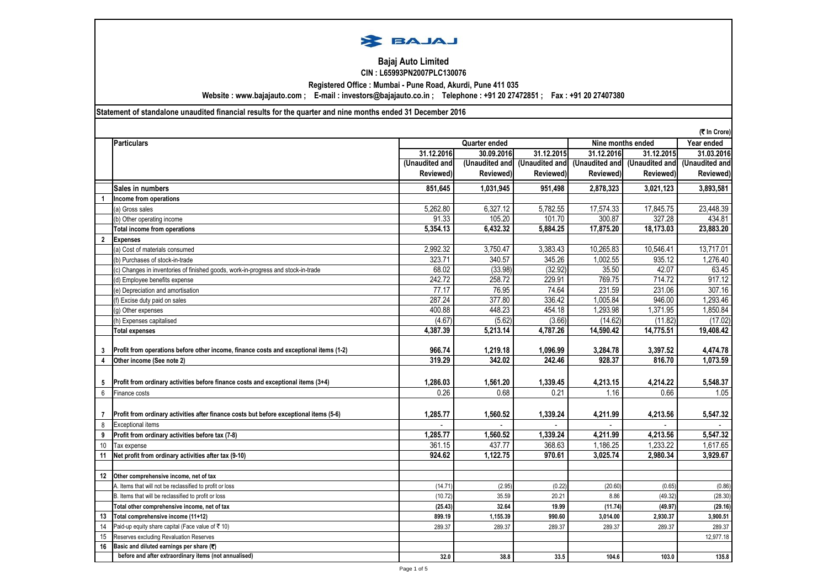

# **Bajaj Auto Limited Registered Office : Mumbai - Pune Road, Akurdi, Pune 411 035 CIN : L65993PN2007PLC130076**

**Website : www.bajajauto.com ; E-mail : investors@bajajauto.co.in ; Telephone : +91 20 27472851 ; Fax : +91 20 27407380**

**Statement of standalone unaudited financial results for the quarter and nine months ended 31 December 2016**

| <b>Particulars</b><br>Nine months ended<br>Year ended<br>Quarter ended<br>31.12.2016<br>30.09.2016<br>31.12.2015<br>31.12.2016<br>31.12.2015<br>31.03.2016<br>(Unaudited and<br>(Unaudited and (Unaudited and<br>(Unaudited and<br>(Unaudited and<br>(Unaudited and<br>Reviewed)<br>Reviewed)<br>Reviewed)<br>Reviewed)<br>Reviewed)<br>Reviewed)<br>851,645<br>3,893,581<br>Sales in numbers<br>1,031,945<br>951,498<br>2,878,323<br>3,021,123<br>Income from operations<br>6,327.12<br>5,262.80<br>5,782.55<br>17,574.33<br>17,845.75<br>(a) Gross sales<br>91.33<br>105.20<br>101.70<br>300.87<br>327.28<br>434.81<br>(b) Other operating income<br>5,354.13<br>6,432.32<br>5,884.25<br>17,875.20<br>18,173.03<br><b>Total income from operations</b><br>$\overline{2}$<br><b>Expenses</b><br>2,992.32<br>3,750.47<br>3,383.43<br>10,265.83<br>13,717.01<br>10,546.41<br>(a) Cost of materials consumed<br>345.26<br>323.71<br>340.57<br>1.002.55<br>935.12<br>1.276.40<br>(b) Purchases of stock-in-trade<br>68.02<br>(33.98)<br>(32.92)<br>35.50<br>42.07<br>(c) Changes in inventories of finished goods, work-in-progress and stock-in-trade<br>242.72<br>258.72<br>229.91<br>769.75<br>714.72<br>(d) Employee benefits expense<br>76.95<br>74.64<br>231.59<br>77.17<br>231.06<br>(e) Depreciation and amortisation<br>287.24<br>377.80<br>336.42<br>1,005.84<br>1,293.46<br>946.00<br>(f) Excise duty paid on sales<br>400.88<br>448.23<br>1,293.98<br>1,371.95<br>454.18<br>1,850.84<br>(a) Other expenses<br>(4.67)<br>(5.62)<br>(3.66)<br>(14.62)<br>(11.82)<br>(h) Expenses capitalised<br>14,590.42<br>4,387.39<br>5,213.14<br>4,787.26<br>14,775.51<br><b>Total expenses</b><br>966.74<br>1,219.18<br>1,096.99<br>3,284.78<br>3,397.52<br>Profit from operations before other income, finance costs and exceptional items (1-2)<br>3<br>928.37<br>319.29<br>342.02<br>242.46<br>816.70<br>1,073.59<br>4<br>Other income (See note 2)<br>Profit from ordinary activities before finance costs and exceptional items (3+4)<br>1,286.03<br>1,561.20<br>1,339.45<br>4,213.15<br>4,214.22<br>5,548.37<br>5<br>0.26<br>0.68<br>0.21<br>1.16<br>0.66<br>6<br>Finance costs<br>Profit from ordinary activities after finance costs but before exceptional items (5-6)<br>1,285.77<br>1,560.52<br>1,339.24<br>4,211.99<br>4,213.56<br>$\overline{7}$<br><b>Exceptional items</b><br>8<br>1,285.77<br>1,560.52<br>1,339.24<br>4,211.99<br>4,213.56<br>Profit from ordinary activities before tax (7-8)<br>9<br>437.77<br>1,233.22<br>361.15<br>368.63<br>1,186.25<br>Tax expense<br>10<br>924.62<br>1,122.75<br>3,025.74<br>3,929.67<br>970.61<br>2,980.34<br>11<br>Net profit from ordinary activities after tax (9-10)<br>12<br>Other comprehensive income, net of tax<br>(14.71)<br>(2.95)<br>(0.22)<br>(20.60)<br>(0.65)<br>A. Items that will not be reclassified to profit or loss<br>B. Items that will be reclassified to profit or loss<br>(10.72)<br>35.59<br>20.21<br>8.86<br>(49.32)<br>Total other comprehensive income, net of tax<br>(25.43)<br>32.64<br>19.99<br>(11.74)<br>(49.97)<br>Total comprehensive income (11+12)<br>899.19<br>1,155.39<br>13<br>990.60<br>3,014.00<br>2,930.37<br>Paid-up equity share capital (Face value of ₹ 10)<br>289.37<br>14<br>289.37<br>289.37<br>289.37<br>289.37<br>289.37<br>15<br>Reserves excluding Revaluation Reserves<br>Basic and diluted earnings per share (₹)<br>16 | (₹ In Crore)                                          |      |      |      |       |       |           |  |
|---------------------------------------------------------------------------------------------------------------------------------------------------------------------------------------------------------------------------------------------------------------------------------------------------------------------------------------------------------------------------------------------------------------------------------------------------------------------------------------------------------------------------------------------------------------------------------------------------------------------------------------------------------------------------------------------------------------------------------------------------------------------------------------------------------------------------------------------------------------------------------------------------------------------------------------------------------------------------------------------------------------------------------------------------------------------------------------------------------------------------------------------------------------------------------------------------------------------------------------------------------------------------------------------------------------------------------------------------------------------------------------------------------------------------------------------------------------------------------------------------------------------------------------------------------------------------------------------------------------------------------------------------------------------------------------------------------------------------------------------------------------------------------------------------------------------------------------------------------------------------------------------------------------------------------------------------------------------------------------------------------------------------------------------------------------------------------------------------------------------------------------------------------------------------------------------------------------------------------------------------------------------------------------------------------------------------------------------------------------------------------------------------------------------------------------------------------------------------------------------------------------------------------------------------------------------------------------------------------------------------------------------------------------------------------------------------------------------------------------------------------------------------------------------------------------------------------------------------------------------------------------------------------------------------------------------------------------------------------------------------------------------------------------------------------------------------------------------------------------------------------------------------------------------------------------------------------------------------------------------------------------------------------------------------------------------------------------------------------------------------------------------------------------------------------------|-------------------------------------------------------|------|------|------|-------|-------|-----------|--|
|                                                                                                                                                                                                                                                                                                                                                                                                                                                                                                                                                                                                                                                                                                                                                                                                                                                                                                                                                                                                                                                                                                                                                                                                                                                                                                                                                                                                                                                                                                                                                                                                                                                                                                                                                                                                                                                                                                                                                                                                                                                                                                                                                                                                                                                                                                                                                                                                                                                                                                                                                                                                                                                                                                                                                                                                                                                                                                                                                                                                                                                                                                                                                                                                                                                                                                                                                                                                                                       |                                                       |      |      |      |       |       |           |  |
|                                                                                                                                                                                                                                                                                                                                                                                                                                                                                                                                                                                                                                                                                                                                                                                                                                                                                                                                                                                                                                                                                                                                                                                                                                                                                                                                                                                                                                                                                                                                                                                                                                                                                                                                                                                                                                                                                                                                                                                                                                                                                                                                                                                                                                                                                                                                                                                                                                                                                                                                                                                                                                                                                                                                                                                                                                                                                                                                                                                                                                                                                                                                                                                                                                                                                                                                                                                                                                       |                                                       |      |      |      |       |       |           |  |
|                                                                                                                                                                                                                                                                                                                                                                                                                                                                                                                                                                                                                                                                                                                                                                                                                                                                                                                                                                                                                                                                                                                                                                                                                                                                                                                                                                                                                                                                                                                                                                                                                                                                                                                                                                                                                                                                                                                                                                                                                                                                                                                                                                                                                                                                                                                                                                                                                                                                                                                                                                                                                                                                                                                                                                                                                                                                                                                                                                                                                                                                                                                                                                                                                                                                                                                                                                                                                                       |                                                       |      |      |      |       |       |           |  |
|                                                                                                                                                                                                                                                                                                                                                                                                                                                                                                                                                                                                                                                                                                                                                                                                                                                                                                                                                                                                                                                                                                                                                                                                                                                                                                                                                                                                                                                                                                                                                                                                                                                                                                                                                                                                                                                                                                                                                                                                                                                                                                                                                                                                                                                                                                                                                                                                                                                                                                                                                                                                                                                                                                                                                                                                                                                                                                                                                                                                                                                                                                                                                                                                                                                                                                                                                                                                                                       |                                                       |      |      |      |       |       |           |  |
|                                                                                                                                                                                                                                                                                                                                                                                                                                                                                                                                                                                                                                                                                                                                                                                                                                                                                                                                                                                                                                                                                                                                                                                                                                                                                                                                                                                                                                                                                                                                                                                                                                                                                                                                                                                                                                                                                                                                                                                                                                                                                                                                                                                                                                                                                                                                                                                                                                                                                                                                                                                                                                                                                                                                                                                                                                                                                                                                                                                                                                                                                                                                                                                                                                                                                                                                                                                                                                       |                                                       |      |      |      |       |       |           |  |
|                                                                                                                                                                                                                                                                                                                                                                                                                                                                                                                                                                                                                                                                                                                                                                                                                                                                                                                                                                                                                                                                                                                                                                                                                                                                                                                                                                                                                                                                                                                                                                                                                                                                                                                                                                                                                                                                                                                                                                                                                                                                                                                                                                                                                                                                                                                                                                                                                                                                                                                                                                                                                                                                                                                                                                                                                                                                                                                                                                                                                                                                                                                                                                                                                                                                                                                                                                                                                                       |                                                       |      |      |      |       |       |           |  |
| 23,883.20                                                                                                                                                                                                                                                                                                                                                                                                                                                                                                                                                                                                                                                                                                                                                                                                                                                                                                                                                                                                                                                                                                                                                                                                                                                                                                                                                                                                                                                                                                                                                                                                                                                                                                                                                                                                                                                                                                                                                                                                                                                                                                                                                                                                                                                                                                                                                                                                                                                                                                                                                                                                                                                                                                                                                                                                                                                                                                                                                                                                                                                                                                                                                                                                                                                                                                                                                                                                                             |                                                       |      |      |      |       |       | 23,448.39 |  |
|                                                                                                                                                                                                                                                                                                                                                                                                                                                                                                                                                                                                                                                                                                                                                                                                                                                                                                                                                                                                                                                                                                                                                                                                                                                                                                                                                                                                                                                                                                                                                                                                                                                                                                                                                                                                                                                                                                                                                                                                                                                                                                                                                                                                                                                                                                                                                                                                                                                                                                                                                                                                                                                                                                                                                                                                                                                                                                                                                                                                                                                                                                                                                                                                                                                                                                                                                                                                                                       |                                                       |      |      |      |       |       |           |  |
|                                                                                                                                                                                                                                                                                                                                                                                                                                                                                                                                                                                                                                                                                                                                                                                                                                                                                                                                                                                                                                                                                                                                                                                                                                                                                                                                                                                                                                                                                                                                                                                                                                                                                                                                                                                                                                                                                                                                                                                                                                                                                                                                                                                                                                                                                                                                                                                                                                                                                                                                                                                                                                                                                                                                                                                                                                                                                                                                                                                                                                                                                                                                                                                                                                                                                                                                                                                                                                       |                                                       |      |      |      |       |       |           |  |
|                                                                                                                                                                                                                                                                                                                                                                                                                                                                                                                                                                                                                                                                                                                                                                                                                                                                                                                                                                                                                                                                                                                                                                                                                                                                                                                                                                                                                                                                                                                                                                                                                                                                                                                                                                                                                                                                                                                                                                                                                                                                                                                                                                                                                                                                                                                                                                                                                                                                                                                                                                                                                                                                                                                                                                                                                                                                                                                                                                                                                                                                                                                                                                                                                                                                                                                                                                                                                                       |                                                       |      |      |      |       |       |           |  |
|                                                                                                                                                                                                                                                                                                                                                                                                                                                                                                                                                                                                                                                                                                                                                                                                                                                                                                                                                                                                                                                                                                                                                                                                                                                                                                                                                                                                                                                                                                                                                                                                                                                                                                                                                                                                                                                                                                                                                                                                                                                                                                                                                                                                                                                                                                                                                                                                                                                                                                                                                                                                                                                                                                                                                                                                                                                                                                                                                                                                                                                                                                                                                                                                                                                                                                                                                                                                                                       |                                                       |      |      |      |       |       |           |  |
| 63.45<br>917.12<br>307.16<br>(17.02)<br>19,408.42<br>4,474.78<br>1.05<br>5,547.32<br>5,547.32<br>3,900.51<br>12,977.18                                                                                                                                                                                                                                                                                                                                                                                                                                                                                                                                                                                                                                                                                                                                                                                                                                                                                                                                                                                                                                                                                                                                                                                                                                                                                                                                                                                                                                                                                                                                                                                                                                                                                                                                                                                                                                                                                                                                                                                                                                                                                                                                                                                                                                                                                                                                                                                                                                                                                                                                                                                                                                                                                                                                                                                                                                                                                                                                                                                                                                                                                                                                                                                                                                                                                                                |                                                       |      |      |      |       |       |           |  |
|                                                                                                                                                                                                                                                                                                                                                                                                                                                                                                                                                                                                                                                                                                                                                                                                                                                                                                                                                                                                                                                                                                                                                                                                                                                                                                                                                                                                                                                                                                                                                                                                                                                                                                                                                                                                                                                                                                                                                                                                                                                                                                                                                                                                                                                                                                                                                                                                                                                                                                                                                                                                                                                                                                                                                                                                                                                                                                                                                                                                                                                                                                                                                                                                                                                                                                                                                                                                                                       |                                                       |      |      |      |       |       |           |  |
|                                                                                                                                                                                                                                                                                                                                                                                                                                                                                                                                                                                                                                                                                                                                                                                                                                                                                                                                                                                                                                                                                                                                                                                                                                                                                                                                                                                                                                                                                                                                                                                                                                                                                                                                                                                                                                                                                                                                                                                                                                                                                                                                                                                                                                                                                                                                                                                                                                                                                                                                                                                                                                                                                                                                                                                                                                                                                                                                                                                                                                                                                                                                                                                                                                                                                                                                                                                                                                       |                                                       |      |      |      |       |       |           |  |
|                                                                                                                                                                                                                                                                                                                                                                                                                                                                                                                                                                                                                                                                                                                                                                                                                                                                                                                                                                                                                                                                                                                                                                                                                                                                                                                                                                                                                                                                                                                                                                                                                                                                                                                                                                                                                                                                                                                                                                                                                                                                                                                                                                                                                                                                                                                                                                                                                                                                                                                                                                                                                                                                                                                                                                                                                                                                                                                                                                                                                                                                                                                                                                                                                                                                                                                                                                                                                                       |                                                       |      |      |      |       |       |           |  |
|                                                                                                                                                                                                                                                                                                                                                                                                                                                                                                                                                                                                                                                                                                                                                                                                                                                                                                                                                                                                                                                                                                                                                                                                                                                                                                                                                                                                                                                                                                                                                                                                                                                                                                                                                                                                                                                                                                                                                                                                                                                                                                                                                                                                                                                                                                                                                                                                                                                                                                                                                                                                                                                                                                                                                                                                                                                                                                                                                                                                                                                                                                                                                                                                                                                                                                                                                                                                                                       |                                                       |      |      |      |       |       |           |  |
|                                                                                                                                                                                                                                                                                                                                                                                                                                                                                                                                                                                                                                                                                                                                                                                                                                                                                                                                                                                                                                                                                                                                                                                                                                                                                                                                                                                                                                                                                                                                                                                                                                                                                                                                                                                                                                                                                                                                                                                                                                                                                                                                                                                                                                                                                                                                                                                                                                                                                                                                                                                                                                                                                                                                                                                                                                                                                                                                                                                                                                                                                                                                                                                                                                                                                                                                                                                                                                       |                                                       |      |      |      |       |       |           |  |
|                                                                                                                                                                                                                                                                                                                                                                                                                                                                                                                                                                                                                                                                                                                                                                                                                                                                                                                                                                                                                                                                                                                                                                                                                                                                                                                                                                                                                                                                                                                                                                                                                                                                                                                                                                                                                                                                                                                                                                                                                                                                                                                                                                                                                                                                                                                                                                                                                                                                                                                                                                                                                                                                                                                                                                                                                                                                                                                                                                                                                                                                                                                                                                                                                                                                                                                                                                                                                                       |                                                       |      |      |      |       |       |           |  |
|                                                                                                                                                                                                                                                                                                                                                                                                                                                                                                                                                                                                                                                                                                                                                                                                                                                                                                                                                                                                                                                                                                                                                                                                                                                                                                                                                                                                                                                                                                                                                                                                                                                                                                                                                                                                                                                                                                                                                                                                                                                                                                                                                                                                                                                                                                                                                                                                                                                                                                                                                                                                                                                                                                                                                                                                                                                                                                                                                                                                                                                                                                                                                                                                                                                                                                                                                                                                                                       |                                                       |      |      |      |       |       |           |  |
|                                                                                                                                                                                                                                                                                                                                                                                                                                                                                                                                                                                                                                                                                                                                                                                                                                                                                                                                                                                                                                                                                                                                                                                                                                                                                                                                                                                                                                                                                                                                                                                                                                                                                                                                                                                                                                                                                                                                                                                                                                                                                                                                                                                                                                                                                                                                                                                                                                                                                                                                                                                                                                                                                                                                                                                                                                                                                                                                                                                                                                                                                                                                                                                                                                                                                                                                                                                                                                       |                                                       |      |      |      |       |       |           |  |
|                                                                                                                                                                                                                                                                                                                                                                                                                                                                                                                                                                                                                                                                                                                                                                                                                                                                                                                                                                                                                                                                                                                                                                                                                                                                                                                                                                                                                                                                                                                                                                                                                                                                                                                                                                                                                                                                                                                                                                                                                                                                                                                                                                                                                                                                                                                                                                                                                                                                                                                                                                                                                                                                                                                                                                                                                                                                                                                                                                                                                                                                                                                                                                                                                                                                                                                                                                                                                                       |                                                       |      |      |      |       |       |           |  |
|                                                                                                                                                                                                                                                                                                                                                                                                                                                                                                                                                                                                                                                                                                                                                                                                                                                                                                                                                                                                                                                                                                                                                                                                                                                                                                                                                                                                                                                                                                                                                                                                                                                                                                                                                                                                                                                                                                                                                                                                                                                                                                                                                                                                                                                                                                                                                                                                                                                                                                                                                                                                                                                                                                                                                                                                                                                                                                                                                                                                                                                                                                                                                                                                                                                                                                                                                                                                                                       |                                                       |      |      |      |       |       |           |  |
|                                                                                                                                                                                                                                                                                                                                                                                                                                                                                                                                                                                                                                                                                                                                                                                                                                                                                                                                                                                                                                                                                                                                                                                                                                                                                                                                                                                                                                                                                                                                                                                                                                                                                                                                                                                                                                                                                                                                                                                                                                                                                                                                                                                                                                                                                                                                                                                                                                                                                                                                                                                                                                                                                                                                                                                                                                                                                                                                                                                                                                                                                                                                                                                                                                                                                                                                                                                                                                       |                                                       |      |      |      |       |       |           |  |
|                                                                                                                                                                                                                                                                                                                                                                                                                                                                                                                                                                                                                                                                                                                                                                                                                                                                                                                                                                                                                                                                                                                                                                                                                                                                                                                                                                                                                                                                                                                                                                                                                                                                                                                                                                                                                                                                                                                                                                                                                                                                                                                                                                                                                                                                                                                                                                                                                                                                                                                                                                                                                                                                                                                                                                                                                                                                                                                                                                                                                                                                                                                                                                                                                                                                                                                                                                                                                                       |                                                       |      |      |      |       |       |           |  |
|                                                                                                                                                                                                                                                                                                                                                                                                                                                                                                                                                                                                                                                                                                                                                                                                                                                                                                                                                                                                                                                                                                                                                                                                                                                                                                                                                                                                                                                                                                                                                                                                                                                                                                                                                                                                                                                                                                                                                                                                                                                                                                                                                                                                                                                                                                                                                                                                                                                                                                                                                                                                                                                                                                                                                                                                                                                                                                                                                                                                                                                                                                                                                                                                                                                                                                                                                                                                                                       |                                                       |      |      |      |       |       |           |  |
|                                                                                                                                                                                                                                                                                                                                                                                                                                                                                                                                                                                                                                                                                                                                                                                                                                                                                                                                                                                                                                                                                                                                                                                                                                                                                                                                                                                                                                                                                                                                                                                                                                                                                                                                                                                                                                                                                                                                                                                                                                                                                                                                                                                                                                                                                                                                                                                                                                                                                                                                                                                                                                                                                                                                                                                                                                                                                                                                                                                                                                                                                                                                                                                                                                                                                                                                                                                                                                       |                                                       |      |      |      |       |       |           |  |
|                                                                                                                                                                                                                                                                                                                                                                                                                                                                                                                                                                                                                                                                                                                                                                                                                                                                                                                                                                                                                                                                                                                                                                                                                                                                                                                                                                                                                                                                                                                                                                                                                                                                                                                                                                                                                                                                                                                                                                                                                                                                                                                                                                                                                                                                                                                                                                                                                                                                                                                                                                                                                                                                                                                                                                                                                                                                                                                                                                                                                                                                                                                                                                                                                                                                                                                                                                                                                                       |                                                       |      |      |      |       |       |           |  |
| 1,617.65<br>(0.86)<br>(28.30)<br>(29.16)                                                                                                                                                                                                                                                                                                                                                                                                                                                                                                                                                                                                                                                                                                                                                                                                                                                                                                                                                                                                                                                                                                                                                                                                                                                                                                                                                                                                                                                                                                                                                                                                                                                                                                                                                                                                                                                                                                                                                                                                                                                                                                                                                                                                                                                                                                                                                                                                                                                                                                                                                                                                                                                                                                                                                                                                                                                                                                                                                                                                                                                                                                                                                                                                                                                                                                                                                                                              |                                                       |      |      |      |       |       |           |  |
|                                                                                                                                                                                                                                                                                                                                                                                                                                                                                                                                                                                                                                                                                                                                                                                                                                                                                                                                                                                                                                                                                                                                                                                                                                                                                                                                                                                                                                                                                                                                                                                                                                                                                                                                                                                                                                                                                                                                                                                                                                                                                                                                                                                                                                                                                                                                                                                                                                                                                                                                                                                                                                                                                                                                                                                                                                                                                                                                                                                                                                                                                                                                                                                                                                                                                                                                                                                                                                       |                                                       |      |      |      |       |       |           |  |
|                                                                                                                                                                                                                                                                                                                                                                                                                                                                                                                                                                                                                                                                                                                                                                                                                                                                                                                                                                                                                                                                                                                                                                                                                                                                                                                                                                                                                                                                                                                                                                                                                                                                                                                                                                                                                                                                                                                                                                                                                                                                                                                                                                                                                                                                                                                                                                                                                                                                                                                                                                                                                                                                                                                                                                                                                                                                                                                                                                                                                                                                                                                                                                                                                                                                                                                                                                                                                                       |                                                       |      |      |      |       |       |           |  |
|                                                                                                                                                                                                                                                                                                                                                                                                                                                                                                                                                                                                                                                                                                                                                                                                                                                                                                                                                                                                                                                                                                                                                                                                                                                                                                                                                                                                                                                                                                                                                                                                                                                                                                                                                                                                                                                                                                                                                                                                                                                                                                                                                                                                                                                                                                                                                                                                                                                                                                                                                                                                                                                                                                                                                                                                                                                                                                                                                                                                                                                                                                                                                                                                                                                                                                                                                                                                                                       |                                                       |      |      |      |       |       |           |  |
|                                                                                                                                                                                                                                                                                                                                                                                                                                                                                                                                                                                                                                                                                                                                                                                                                                                                                                                                                                                                                                                                                                                                                                                                                                                                                                                                                                                                                                                                                                                                                                                                                                                                                                                                                                                                                                                                                                                                                                                                                                                                                                                                                                                                                                                                                                                                                                                                                                                                                                                                                                                                                                                                                                                                                                                                                                                                                                                                                                                                                                                                                                                                                                                                                                                                                                                                                                                                                                       |                                                       |      |      |      |       |       |           |  |
|                                                                                                                                                                                                                                                                                                                                                                                                                                                                                                                                                                                                                                                                                                                                                                                                                                                                                                                                                                                                                                                                                                                                                                                                                                                                                                                                                                                                                                                                                                                                                                                                                                                                                                                                                                                                                                                                                                                                                                                                                                                                                                                                                                                                                                                                                                                                                                                                                                                                                                                                                                                                                                                                                                                                                                                                                                                                                                                                                                                                                                                                                                                                                                                                                                                                                                                                                                                                                                       |                                                       |      |      |      |       |       |           |  |
|                                                                                                                                                                                                                                                                                                                                                                                                                                                                                                                                                                                                                                                                                                                                                                                                                                                                                                                                                                                                                                                                                                                                                                                                                                                                                                                                                                                                                                                                                                                                                                                                                                                                                                                                                                                                                                                                                                                                                                                                                                                                                                                                                                                                                                                                                                                                                                                                                                                                                                                                                                                                                                                                                                                                                                                                                                                                                                                                                                                                                                                                                                                                                                                                                                                                                                                                                                                                                                       |                                                       |      |      |      |       |       |           |  |
|                                                                                                                                                                                                                                                                                                                                                                                                                                                                                                                                                                                                                                                                                                                                                                                                                                                                                                                                                                                                                                                                                                                                                                                                                                                                                                                                                                                                                                                                                                                                                                                                                                                                                                                                                                                                                                                                                                                                                                                                                                                                                                                                                                                                                                                                                                                                                                                                                                                                                                                                                                                                                                                                                                                                                                                                                                                                                                                                                                                                                                                                                                                                                                                                                                                                                                                                                                                                                                       |                                                       |      |      |      |       |       |           |  |
|                                                                                                                                                                                                                                                                                                                                                                                                                                                                                                                                                                                                                                                                                                                                                                                                                                                                                                                                                                                                                                                                                                                                                                                                                                                                                                                                                                                                                                                                                                                                                                                                                                                                                                                                                                                                                                                                                                                                                                                                                                                                                                                                                                                                                                                                                                                                                                                                                                                                                                                                                                                                                                                                                                                                                                                                                                                                                                                                                                                                                                                                                                                                                                                                                                                                                                                                                                                                                                       |                                                       |      |      |      |       |       |           |  |
|                                                                                                                                                                                                                                                                                                                                                                                                                                                                                                                                                                                                                                                                                                                                                                                                                                                                                                                                                                                                                                                                                                                                                                                                                                                                                                                                                                                                                                                                                                                                                                                                                                                                                                                                                                                                                                                                                                                                                                                                                                                                                                                                                                                                                                                                                                                                                                                                                                                                                                                                                                                                                                                                                                                                                                                                                                                                                                                                                                                                                                                                                                                                                                                                                                                                                                                                                                                                                                       |                                                       |      |      |      |       |       |           |  |
|                                                                                                                                                                                                                                                                                                                                                                                                                                                                                                                                                                                                                                                                                                                                                                                                                                                                                                                                                                                                                                                                                                                                                                                                                                                                                                                                                                                                                                                                                                                                                                                                                                                                                                                                                                                                                                                                                                                                                                                                                                                                                                                                                                                                                                                                                                                                                                                                                                                                                                                                                                                                                                                                                                                                                                                                                                                                                                                                                                                                                                                                                                                                                                                                                                                                                                                                                                                                                                       |                                                       |      |      |      |       |       |           |  |
|                                                                                                                                                                                                                                                                                                                                                                                                                                                                                                                                                                                                                                                                                                                                                                                                                                                                                                                                                                                                                                                                                                                                                                                                                                                                                                                                                                                                                                                                                                                                                                                                                                                                                                                                                                                                                                                                                                                                                                                                                                                                                                                                                                                                                                                                                                                                                                                                                                                                                                                                                                                                                                                                                                                                                                                                                                                                                                                                                                                                                                                                                                                                                                                                                                                                                                                                                                                                                                       |                                                       |      |      |      |       |       |           |  |
|                                                                                                                                                                                                                                                                                                                                                                                                                                                                                                                                                                                                                                                                                                                                                                                                                                                                                                                                                                                                                                                                                                                                                                                                                                                                                                                                                                                                                                                                                                                                                                                                                                                                                                                                                                                                                                                                                                                                                                                                                                                                                                                                                                                                                                                                                                                                                                                                                                                                                                                                                                                                                                                                                                                                                                                                                                                                                                                                                                                                                                                                                                                                                                                                                                                                                                                                                                                                                                       |                                                       |      |      |      |       |       |           |  |
|                                                                                                                                                                                                                                                                                                                                                                                                                                                                                                                                                                                                                                                                                                                                                                                                                                                                                                                                                                                                                                                                                                                                                                                                                                                                                                                                                                                                                                                                                                                                                                                                                                                                                                                                                                                                                                                                                                                                                                                                                                                                                                                                                                                                                                                                                                                                                                                                                                                                                                                                                                                                                                                                                                                                                                                                                                                                                                                                                                                                                                                                                                                                                                                                                                                                                                                                                                                                                                       | before and after extraordinary items (not annualised) | 32.0 | 38.8 | 33.5 | 104.6 | 103.0 | 135.8     |  |

Page 1 of 5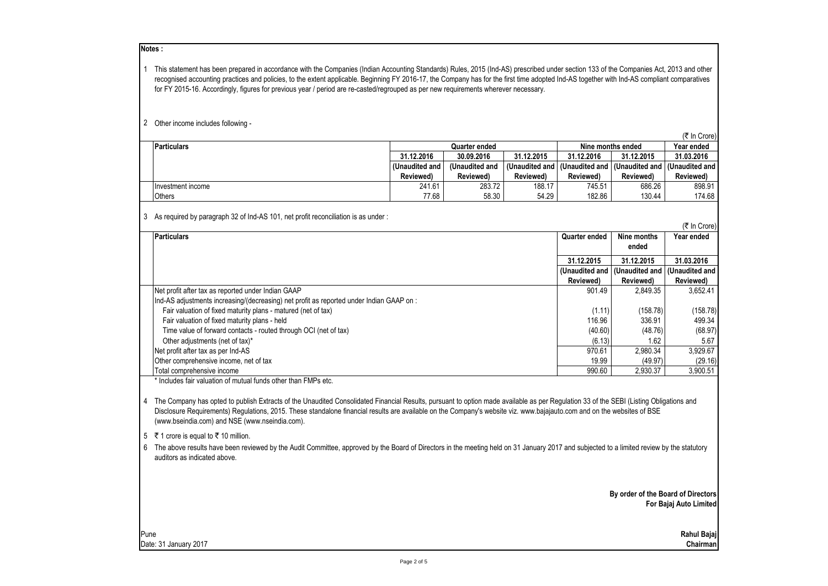### **Notes :**

1 This statement has been prepared in accordance with the Companies (Indian Accounting Standards) Rules, 2015 (Ind-AS) prescribed under section 133 of the Companies Act, 2013 and other recognised accounting practices and policies, to the extent applicable. Beginning FY 2016-17, the Company has for the first time adopted Ind-AS together with Ind-AS compliant comparatives for FY 2015-16. Accordingly, figures for previous year / period are re-casted/regrouped as per new requirements wherever necessary.

#### 2 Other income includes following -

(₹ In Crore)

| <b>Particulars</b> | Quarter ended    |               |                  | Nine months ended | Year ended                          |                  |
|--------------------|------------------|---------------|------------------|-------------------|-------------------------------------|------------------|
|                    | 31.12.2016       | 30.09.2016    | 31.12.2015       | 31.12.2016        | 31.12.2015                          | 31.03.2016       |
|                    | l (Unaudited and | Unaudited and | (Unaudited and I |                   | I (Unaudited and I (Unaudited and I | I (Unaudited and |
|                    | Reviewed)        | Reviewed)     | Reviewed)        | <b>Reviewed</b> ) | Reviewed)                           | Reviewed)        |
| Investment income  | 241.61           | 283.72        | 188.17           | 745.51            | 686.26                              | 898.91           |
| <b>Others</b>      | 77.68            | 58.30         | 54.29            | 182.86            | 130.44                              | 174.68           |

3 As required by paragraph 32 of Ind-AS 101, net profit reconciliation is as under :

(₹ In Crore) **Particulars Quarter ended Nine months ended Year ended 31.12.2015 31.12.2015 31.03.2016 (Unaudited and Reviewed) (Unaudited and Reviewed) (Unaudited and Reviewed)** Net profit after tax as reported under Indian GAAP 8652.41 and the set of the set of the set of the set of the set of the set of the set of the set of the set of the set of the set of the set of the set of the set of the s Ind-AS adjustments increasing/(decreasing) net profit as reported under Indian GAAP on : Fair valuation of fixed maturity plans - matured (net of tax) (158.78) (158.78) (158.78) (158.78) (158.78) Fair valuation of fixed maturity plans - held 199.34 and 16.96 and 116.96 and 116.96 and 116.96 and 116.96 and 116.96 and 116.96 and 116.96 and 116.96 and 116.96 and 116.96 and 116.96 and 116.96 and 116.96 and 116.97 and 1 Time value of forward contacts - routed through OCI (net of tax) (68.97 Other adjustments (net of tax)\* 5.67<br>
other adjustments (net of tax)\* 5.67<br>
other adjustments (net of tax)\* 5.929.67 Net profit after tax as per Ind-AS 970.61 3,990.61 2,990.61 3,990.61 2,990.61 3,990.61 3,990.61 2,990.61 3,920 Other comprehensive income, net of tax  $\begin{array}{|l|c|c|c|c|c|c|c|}\hline \text{(19.97)}&\text{(29.16)}\ \hline \end{array}$  (29.16) (29.16) (29.16) Total comprehensive income 990.60 2,930.49 3,930.60 2,930.60 2,930.60 2,930.60 2,930.60 2,930.60 2,930.60 2,930

\* Includes fair valuation of mutual funds other than FMPs etc.

4 The Company has opted to publish Extracts of the Unaudited Consolidated Financial Results, pursuant to option made available as per Regulation 33 of the SEBI (Listing Obligations and Disclosure Requirements) Regulations, 2015. These standalone financial results are available on the Company's website viz. www.bajajauto.com and on the websites of BSE (www.bseindia.com) and NSE (www.nseindia.com).

5 ₹ 1 crore is equal to ₹ 10 million.

6 The above results have been reviewed by the Audit Committee, approved by the Board of Directors in the meeting held on 31 January 2017 and subjected to a limited review by the statutory auditors as indicated above.

> **By order of the Board of Directors For Bajaj Auto Limited**

Pune **Rahul Bajaj** Date: 31 January 2017 **Chairman**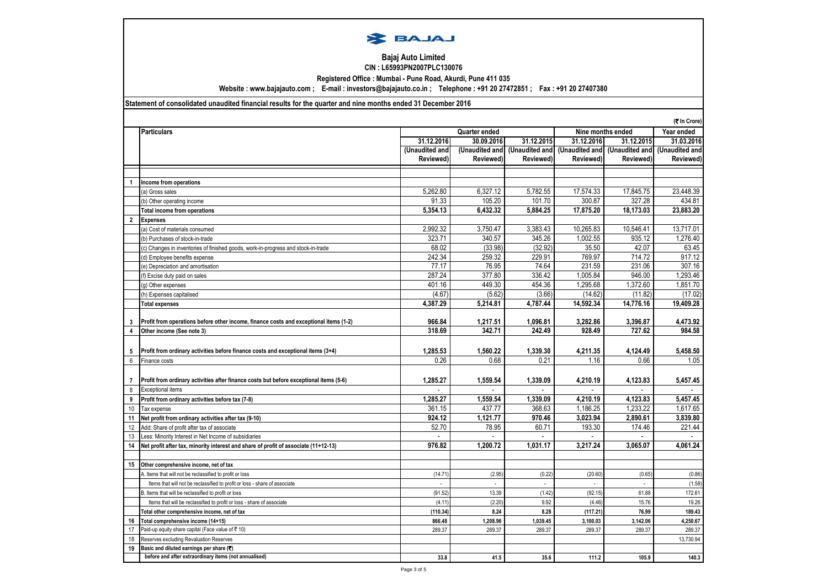

#### **Bajaj Auto Limited CIN : L65993PN2007PLC130076**

**Registered Office : Mumbai - Pune Road, Akurdi, Pune 411 035**

**Website : www.bajajauto.com ; E-mail : investors@bajajauto.co.in ; Telephone : +91 20 27472851 ; Fax : +91 20 27407380**

## **Statement of consolidated unaudited financial results for the quarter and nine months ended 31 December 2016**

|                | (₹ In Crore)                                                                           |                |                |                |                   |                               |                |
|----------------|----------------------------------------------------------------------------------------|----------------|----------------|----------------|-------------------|-------------------------------|----------------|
|                | <b>Particulars</b>                                                                     |                | Quarter ended  |                | Nine months ended | Year ended                    |                |
|                |                                                                                        | 31.12.2016     | 30.09.2016     | 31.12.2015     | 31.12.2016        | 31.12.2015                    | 31.03.2016     |
|                |                                                                                        | (Unaudited and | (Unaudited and | (Unaudited and |                   | (Unaudited and (Unaudited and | (Unaudited and |
|                |                                                                                        | Reviewed)      | Reviewed)      | Reviewed)      | Reviewed)         | Reviewed)                     | Reviewed)      |
|                |                                                                                        |                |                |                |                   |                               |                |
| 1              | Income from operations                                                                 |                |                |                |                   |                               |                |
|                | (a) Gross sales                                                                        | 5,262.80       | 6,327.12       | 5,782.55       | 17,574.33         | 17,845.75                     | 23,448.39      |
|                | (b) Other operating income                                                             | 91.33          | 105.20         | 101.70         | 300.87            | 327.28                        | 434.81         |
|                | <b>Total income from operations</b>                                                    | 5,354.13       | 6.432.32       | 5.884.25       | 17.875.20         | 18.173.03                     | 23.883.20      |
| $\overline{2}$ | <b>Expenses</b>                                                                        |                |                |                |                   |                               |                |
|                | (a) Cost of materials consumed                                                         | 2,992.32       | 3,750.47       | 3,383.43       | 10,265.83         | 10,546.41                     | 13,717.01      |
|                | (b) Purchases of stock-in-trade                                                        | 323.71         | 340.57         | 345.26         | 1.002.55          | 935.12                        | 1.276.40       |
|                | (c) Changes in inventories of finished goods, work-in-progress and stock-in-trade      | 68.02          | (33.98)        | (32.92)        | 35.50             | 42.07                         | 63.45          |
|                | (d) Employee benefits expense                                                          | 242.34         | 259.32         | 229.91         | 769.97            | 714.72                        | 917.12         |
|                | (e) Depreciation and amortisation                                                      | 77.17          | 76.95          | 74.64          | 231.59            | 231.06                        | 307.16         |
|                | (f) Excise duty paid on sales                                                          | 287.24         | 377.80         | 336.42         | 1.005.84          | 946.00                        | 1.293.46       |
|                | (g) Other expenses                                                                     | 401.16         | 449.30         | 454.36         | 1,295.68          | 1,372.60                      | 1,851.70       |
|                | (h) Expenses capitalised                                                               | (4.67)         | (5.62)         | (3.66)         | (14.62)           | (11.82)                       | (17.02)        |
|                | <b>Total expenses</b>                                                                  | 4.387.29       | 5.214.81       | 4.787.44       | 14.592.34         | 14,776.16                     | 19.409.28      |
|                |                                                                                        |                |                |                |                   |                               |                |
| 3              | Profit from operations before other income, finance costs and exceptional items (1-2)  | 966.84         | 1,217.51       | 1,096.81       | 3,282.86          | 3,396.87                      | 4,473.92       |
| 4              | Other income (See note 3)                                                              | 318.69         | 342.71         | 242.49         | 928.49            | 727.62                        | 984.58         |
|                |                                                                                        |                |                |                |                   |                               |                |
| 5              | Profit from ordinary activities before finance costs and exceptional items (3+4)       | 1.285.53       | 1.560.22       | 1.339.30       | 4,211.35          | 4.124.49                      | 5,458.50       |
| 6              | Finance costs                                                                          | 0.26           | 0.68           | 0.21           | 1.16              | 0.66                          | 1.05           |
|                |                                                                                        |                |                |                |                   |                               |                |
| 7              | Profit from ordinary activities after finance costs but before exceptional items (5-6) | 1,285.27       | 1,559.54       | 1,339.09       | 4,210.19          | 4,123.83                      | 5,457.45       |
| 8              | <b>Exceptional items</b>                                                               | $\sim$         | $\mathbf{r}$   | $\sim$         | ÷.                | $\sim$                        |                |
| 9              | Profit from ordinary activities before tax (7-8)                                       | 1.285.27       | 1.559.54       | 1.339.09       | 4.210.19          | 4.123.83                      | 5.457.45       |
| 10             | Tax expense                                                                            | 361.15         | 437.77         | 368.63         | 1,186.25          | 1,233.22                      | 1,617.65       |
| 11             | Net profit from ordinary activities after tax (9-10)                                   | 924.12         | 1.121.77       | 970.46         | 3.023.94          | 2.890.61                      | 3,839.80       |
| 12             | Add: Share of profit after tax of associate                                            | 52.70          | 78.95          | 60.71          | 193.30            | 174.46                        | 221.44         |
| 13             | Less: Minority Interest in Net Income of subsidiaries                                  |                |                |                |                   |                               |                |
| 14             | Net profit after tax, minority interest and share of profit of associate (11+12-13)    | 976.82         | 1,200.72       | 1,031.17       | 3,217.24          | 3,065.07                      | 4,061.24       |
|                |                                                                                        |                |                |                |                   |                               |                |
| 15             | Other comprehensive income, net of tax                                                 |                |                |                |                   |                               |                |
|                | A. Items that will not be reclassified to profit or loss                               | (14.71)        | (2.95)         | (0.22)         | (20.60)           | (0.65)                        | (0.86)         |
|                | Items that will not be reclassified to profit or loss - share of associate             |                |                | ÷,             |                   |                               | (1.58)         |
|                | B. Items that will be reclassified to profit or loss                                   | (91.52)        | 13.39          | (1.42)         | (92.15)           | 61.88                         | 172.61         |
|                | Items that will be reclassified to profit or loss - share of associate                 | (4.11)         | (2.20)         | 9.92           | (4.46)            | 15.76                         | 19.26          |
|                | Total other comprehensive income, net of tax                                           | (110.34)       | 8.24           | 8.28           | (117.21)          | 76.99                         | 189.43         |
| 16             | Total comprehensive income (14+15)                                                     | 866.48         | 1,208.96       | 1,039.45       | 3,100.03          | 3,142.06                      | 4,250.67       |
| 17             | Paid-up equity share capital (Face value of ₹10)                                       | 289.37         | 289.37         | 289.37         | 289.37            | 289.37                        | 289.37         |
| 18             | Reserves excluding Revaluation Reserves                                                |                |                |                |                   |                               | 13,730.94      |
| 19             | Basic and diluted earnings per share (₹)                                               |                |                |                |                   |                               |                |
|                | before and after extraordinary items (not annualised)                                  | 33.8           | 41.5           | 35.6           | 111.2             | 105.9                         | 140.3          |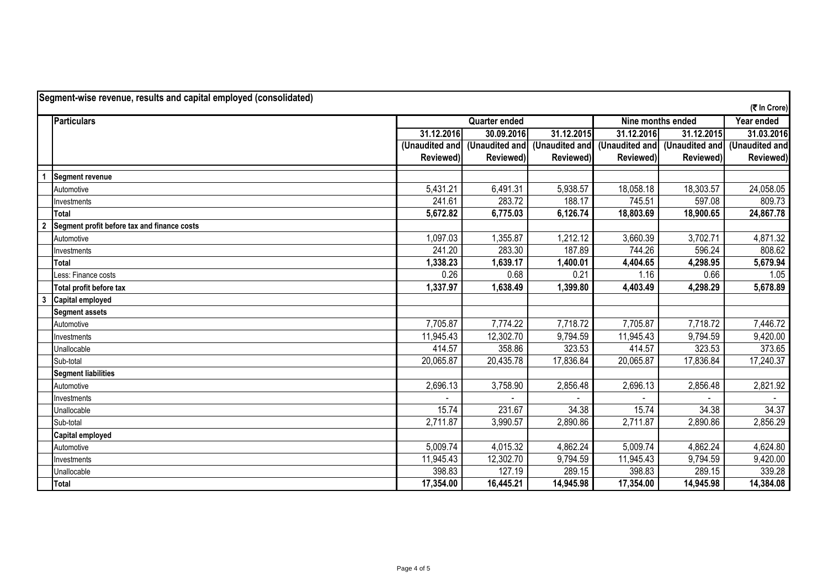|                | Segment-wise revenue, results and capital employed (consolidated)<br>(₹ In Crore) |                |                      |                |                   |                               |                |  |  |
|----------------|-----------------------------------------------------------------------------------|----------------|----------------------|----------------|-------------------|-------------------------------|----------------|--|--|
|                | Particulars                                                                       |                | <b>Quarter ended</b> |                | Nine months ended | Year ended                    |                |  |  |
|                |                                                                                   | 31.12.2016     | 30.09.2016           | 31.12.2015     | 31.12.2016        | 31.12.2015                    | 31.03.2016     |  |  |
|                |                                                                                   | (Unaudited and | (Unaudited and       | (Unaudited and |                   | (Unaudited and (Unaudited and | (Unaudited and |  |  |
|                |                                                                                   | Reviewed)      | Reviewed)            | Reviewed)      | Reviewed)         | Reviewed)                     | Reviewed)      |  |  |
|                | <b>Segment revenue</b>                                                            |                |                      |                |                   |                               |                |  |  |
|                | Automotive                                                                        | 5,431.21       | 6,491.31             | 5,938.57       | 18,058.18         | 18,303.57                     | 24,058.05      |  |  |
|                | Investments                                                                       | 241.61         | 283.72               | 188.17         | 745.51            | 597.08                        | 809.73         |  |  |
|                | Total                                                                             | 5,672.82       | 6,775.03             | 6,126.74       | 18,803.69         | 18,900.65                     | 24,867.78      |  |  |
| $\overline{2}$ | Segment profit before tax and finance costs                                       |                |                      |                |                   |                               |                |  |  |
|                | Automotive                                                                        | 1,097.03       | 1,355.87             | 1,212.12       | 3,660.39          | 3,702.71                      | 4,871.32       |  |  |
|                | Investments                                                                       | 241.20         | 283.30               | 187.89         | 744.26            | 596.24                        | 808.62         |  |  |
|                | Total                                                                             | 1,338.23       | 1,639.17             | 1,400.01       | 4,404.65          | 4,298.95                      | 5,679.94       |  |  |
|                | Less: Finance costs                                                               | 0.26           | 0.68                 | 0.21           | 1.16              | 0.66                          | 1.05           |  |  |
|                | Total profit before tax                                                           | 1,337.97       | 1,638.49             | 1,399.80       | 4,403.49          | 4,298.29                      | 5,678.89       |  |  |
| 3              | <b>Capital employed</b>                                                           |                |                      |                |                   |                               |                |  |  |
|                | <b>Segment assets</b>                                                             |                |                      |                |                   |                               |                |  |  |
|                | Automotive                                                                        | 7,705.87       | 7,774.22             | 7,718.72       | 7,705.87          | 7,718.72                      | 7,446.72       |  |  |
|                | Investments                                                                       | 11,945.43      | 12,302.70            | 9,794.59       | 11,945.43         | 9,794.59                      | 9,420.00       |  |  |
|                | Unallocable                                                                       | 414.57         | 358.86               | 323.53         | 414.57            | 323.53                        | 373.65         |  |  |
|                | Sub-total                                                                         | 20,065.87      | 20,435.78            | 17,836.84      | 20,065.87         | 17,836.84                     | 17,240.37      |  |  |
|                | <b>Segment liabilities</b>                                                        |                |                      |                |                   |                               |                |  |  |
|                | Automotive                                                                        | 2,696.13       | 3,758.90             | 2,856.48       | 2,696.13          | 2,856.48                      | 2,821.92       |  |  |
|                | Investments                                                                       |                |                      |                |                   |                               |                |  |  |
|                | Unallocable                                                                       | 15.74          | 231.67               | 34.38          | 15.74             | 34.38                         | 34.37          |  |  |
|                | Sub-total                                                                         | 2,711.87       | 3,990.57             | 2,890.86       | 2,711.87          | 2,890.86                      | 2,856.29       |  |  |
|                | <b>Capital employed</b>                                                           |                |                      |                |                   |                               |                |  |  |
|                | Automotive                                                                        | 5,009.74       | 4,015.32             | 4,862.24       | 5,009.74          | 4,862.24                      | 4,624.80       |  |  |
|                | Investments                                                                       | 11,945.43      | 12,302.70            | 9,794.59       | 11,945.43         | 9,794.59                      | 9,420.00       |  |  |
|                | Unallocable                                                                       | 398.83         | 127.19               | 289.15         | 398.83            | 289.15                        | 339.28         |  |  |
|                | Total                                                                             | 17,354.00      | 16,445.21            | 14,945.98      | 17,354.00         | 14,945.98                     | 14,384.08      |  |  |